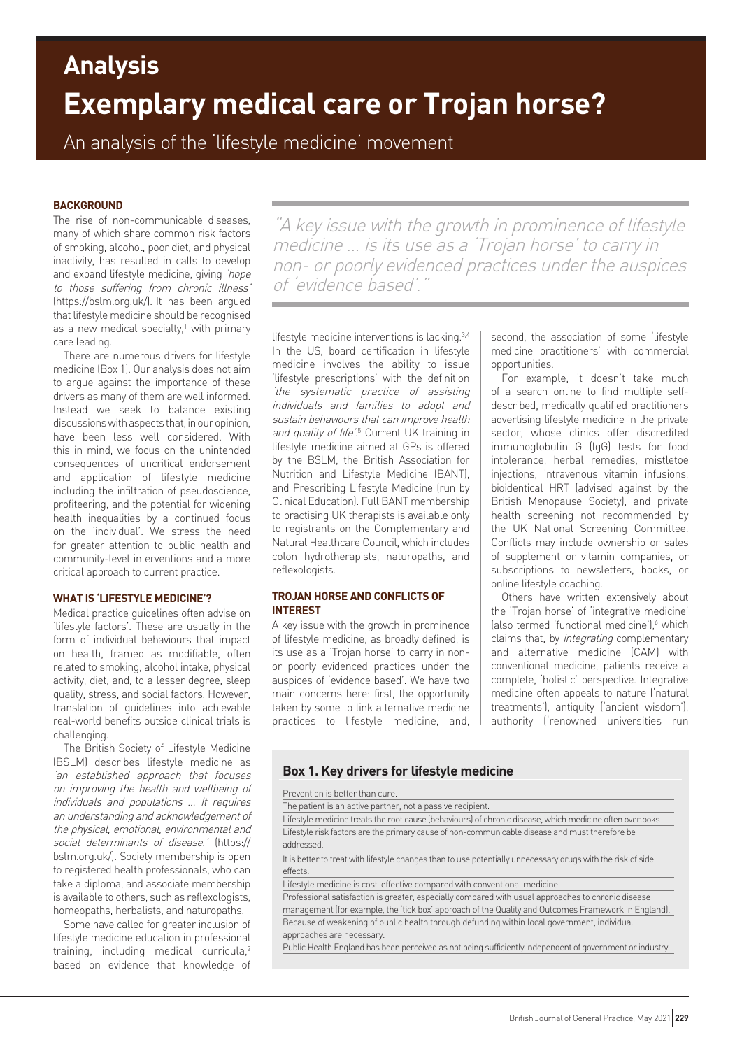# **Exemplary medical care or Trojan horse? Analysis**

An analysis of the 'lifestyle medicine' movement

## **BACKGROUND**

The rise of non-communicable diseases, many of which share common risk factors of smoking, alcohol, poor diet, and physical inactivity, has resulted in calls to develop and expand lifestyle medicine, giving 'hope to those suffering from chronic illness' (https://bslm.org.uk/). It has been argued that lifestyle medicine should be recognised as a new medical specialty, $1$  with primary care leading.

There are numerous drivers for lifestyle medicine (Box 1). Our analysis does not aim to argue against the importance of these drivers as many of them are well informed. Instead we seek to balance existing discussions with aspects that, in our opinion, have been less well considered. With this in mind, we focus on the unintended consequences of uncritical endorsement and application of lifestyle medicine including the infiltration of pseudoscience, profiteering, and the potential for widening health inequalities by a continued focus on the 'individual'. We stress the need for greater attention to public health and community-level interventions and a more critical approach to current practice.

## **WHAT IS 'LIFESTYLE MEDICINE'?**

Medical practice guidelines often advise on 'lifestyle factors'. These are usually in the form of individual behaviours that impact on health, framed as modifiable, often related to smoking, alcohol intake, physical activity, diet, and, to a lesser degree, sleep quality, stress, and social factors. However, translation of guidelines into achievable real-world benefits outside clinical trials is challenging.

The British Society of Lifestyle Medicine (BSLM) describes lifestyle medicine as 'an established approach that focuses on improving the health and wellbeing of individuals and populations … It requires an understanding and acknowledgement of the physical, emotional, environmental and social determinants of disease.' (https:// bslm.org.uk/). Society membership is open to registered health professionals, who can take a diploma, and associate membership is available to others, such as reflexologists, homeopaths, herbalists, and naturopaths.

Some have called for greater inclusion of lifestyle medicine education in professional training, including medical curricula,<sup>2</sup> based on evidence that knowledge of

"A key issue with the growth in prominence of lifestyle medicine … is its use as a 'Trojan horse' to carry in non- or poorly evidenced practices under the auspices of 'evidence based'."

lifestyle medicine interventions is lacking.3,4 In the US, board certification in lifestyle medicine involves the ability to issue 'lifestyle prescriptions' with the definition 'the systematic practice of assisting individuals and families to adopt and sustain behaviours that can improve health and quality of life<sup>'5</sup> Current UK training in lifestyle medicine aimed at GPs is offered by the BSLM, the British Association for Nutrition and Lifestyle Medicine (BANT), and Prescribing Lifestyle Medicine (run by Clinical Education). Full BANT membership to practising UK therapists is available only to registrants on the Complementary and Natural Healthcare Council, which includes colon hydrotherapists, naturopaths, and reflexologists.

# **TROJAN HORSE AND CONFLICTS OF INTEREST**

A key issue with the growth in prominence of lifestyle medicine, as broadly defined, is its use as a 'Trojan horse' to carry in nonor poorly evidenced practices under the auspices of 'evidence based'. We have two main concerns here: first, the opportunity taken by some to link alternative medicine practices to lifestyle medicine, and, second, the association of some 'lifestyle medicine practitioners' with commercial opportunities.

For example, it doesn't take much of a search online to find multiple selfdescribed, medically qualified practitioners advertising lifestyle medicine in the private sector, whose clinics offer discredited immunoglobulin G (IgG) tests for food intolerance, herbal remedies, mistletoe injections, intravenous vitamin infusions, bioidentical HRT (advised against by the British Menopause Society), and private health screening not recommended by the UK National Screening Committee. Conflicts may include ownership or sales of supplement or vitamin companies, or subscriptions to newsletters, books, or online lifestyle coaching.

Others have written extensively about the 'Trojan horse' of 'integrative medicine' (also termed 'functional medicine'), which claims that, by integrating complementary and alternative medicine (CAM) with conventional medicine, patients receive a complete, 'holistic' perspective. Integrative medicine often appeals to nature ('natural treatments'), antiquity ('ancient wisdom'), authority ('renowned universities run

# **Box 1. Key drivers for lifestyle medicine**

| Prevention is better than cure.                                                                                                                                                                           |
|-----------------------------------------------------------------------------------------------------------------------------------------------------------------------------------------------------------|
| The patient is an active partner, not a passive recipient.                                                                                                                                                |
| Lifestyle medicine treats the root cause (behaviours) of chronic disease, which medicine often overlooks.                                                                                                 |
| Lifestyle risk factors are the primary cause of non-communicable disease and must therefore be<br>addressed.                                                                                              |
| It is better to treat with lifestyle changes than to use potentially unnecessary drugs with the risk of side<br>effects.                                                                                  |
| Lifestyle medicine is cost-effective compared with conventional medicine.                                                                                                                                 |
| Professional satisfaction is greater, especially compared with usual approaches to chronic disease<br>management (for example, the 'tick box' approach of the Quality and Outcomes Framework in England). |
| Because of weakening of public health through defunding within local government, individual<br>approaches are necessary.                                                                                  |
| Public Health England has been perceived as not being sufficiently independent of government or industry.                                                                                                 |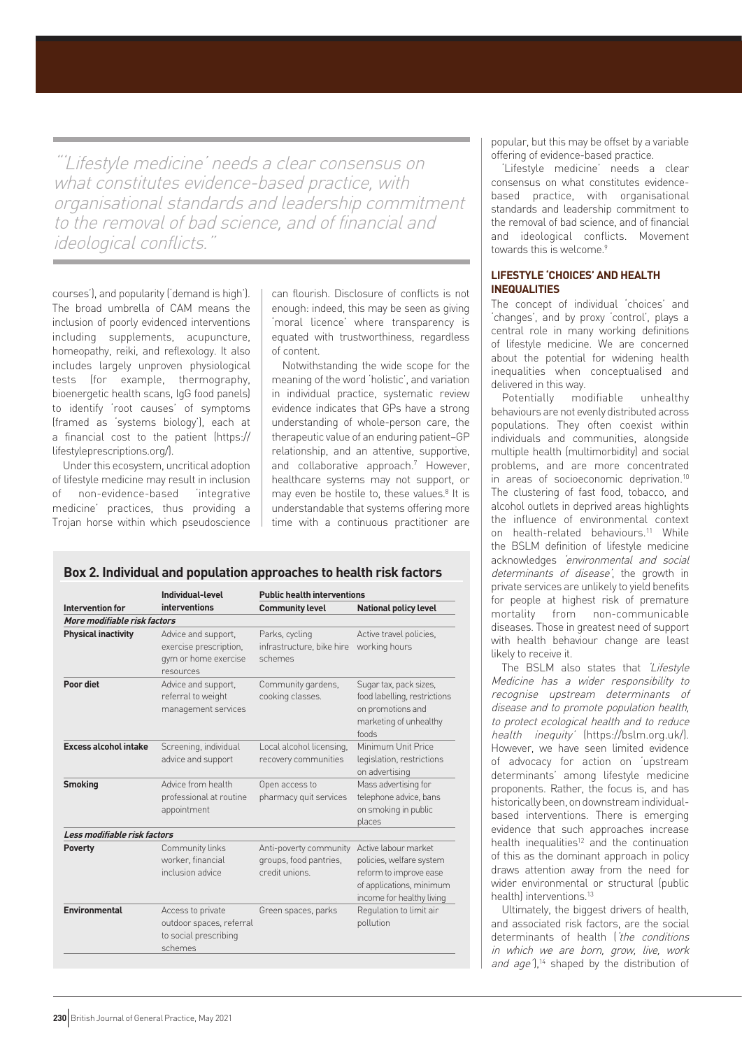"'Lifestyle medicine' needs a clear consensus on what constitutes evidence-based practice, with organisational standards and leadership commitment to the removal of bad science, and of financial and ideological conflicts."

courses'), and popularity ('demand is high'). The broad umbrella of CAM means the inclusion of poorly evidenced interventions including supplements, acupuncture, homeopathy, reiki, and reflexology. It also includes largely unproven physiological tests (for example, thermography, bioenergetic health scans, IgG food panels) to identify 'root causes' of symptoms (framed as 'systems biology'), each at a financial cost to the patient (https:// lifestyleprescriptions.org/).

Under this ecosystem, uncritical adoption of lifestyle medicine may result in inclusion of non-evidence-based 'integrative medicine' practices, thus providing a Trojan horse within which pseudoscience can flourish. Disclosure of conflicts is not enough: indeed, this may be seen as giving 'moral licence' where transparency is equated with trustworthiness, regardless of content.

Notwithstanding the wide scope for the meaning of the word 'holistic', and variation in individual practice, systematic review evidence indicates that GPs have a strong understanding of whole-person care, the therapeutic value of an enduring patient–GP relationship, and an attentive, supportive, and collaborative approach.7 However, healthcare systems may not support, or may even be hostile to, these values.<sup>8</sup> It is understandable that systems offering more time with a continuous practitioner are

## **Box 2. Individual and population approaches to health risk factors**

| Intervention for             | Individual-level<br>interventions                                                  | <b>Public health interventions</b>                                 |                                                                                                                                     |
|------------------------------|------------------------------------------------------------------------------------|--------------------------------------------------------------------|-------------------------------------------------------------------------------------------------------------------------------------|
|                              |                                                                                    | <b>Community level</b>                                             | <b>National policy level</b>                                                                                                        |
| More modifiable risk factors |                                                                                    |                                                                    |                                                                                                                                     |
| <b>Physical inactivity</b>   | Advice and support,<br>exercise prescription,<br>gym or home exercise<br>resources | Parks, cycling<br>infrastructure, bike hire<br>schemes             | Active travel policies,<br>working hours                                                                                            |
| Poor diet                    | Advice and support,<br>referral to weight<br>management services                   | Community gardens,<br>cooking classes.                             | Sugar tax, pack sizes,<br>food labelling, restrictions<br>on promotions and<br>marketing of unhealthy<br>foods                      |
| <b>Excess alcohol intake</b> | Screening, individual<br>advice and support                                        | Local alcohol licensing,<br>recovery communities                   | Minimum Unit Price<br>legislation, restrictions<br>on advertising                                                                   |
| <b>Smoking</b>               | Advice from health<br>professional at routine<br>appointment                       | Open access to<br>pharmacy quit services                           | Mass advertising for<br>telephone advice, bans<br>on smoking in public<br>places                                                    |
| Less modifiable risk factors |                                                                                    |                                                                    |                                                                                                                                     |
| <b>Poverty</b>               | Community links<br>worker, financial<br>inclusion advice                           | Anti-poverty community<br>groups, food pantries,<br>credit unions. | Active labour market<br>policies, welfare system<br>reform to improve ease<br>of applications, minimum<br>income for healthy living |
| Environmental                | Access to private<br>outdoor spaces, referral<br>to social prescribing<br>schemes  | Green spaces, parks                                                | Regulation to limit air<br>pollution                                                                                                |

popular, but this may be offset by a variable offering of evidence-based practice.

'Lifestyle medicine' needs a clear consensus on what constitutes evidencebased practice, with organisational standards and leadership commitment to the removal of bad science, and of financial and ideological conflicts. Movement towards this is welcome.<sup>9</sup>

# **LIFESTYLE 'CHOICES' AND HEALTH INEQUALITIES**

The concept of individual 'choices' and 'changes', and by proxy 'control', plays a central role in many working definitions of lifestyle medicine. We are concerned about the potential for widening health inequalities when conceptualised and delivered in this way.

Potentially modifiable unhealthy behaviours are not evenly distributed across populations. They often coexist within individuals and communities, alongside multiple health (multimorbidity) and social problems, and are more concentrated in areas of socioeconomic deprivation.<sup>10</sup> The clustering of fast food, tobacco, and alcohol outlets in deprived areas highlights the influence of environmental context on health-related behaviours.<sup>11</sup> While the BSLM definition of lifestyle medicine acknowledges 'environmental and social determinants of disease', the growth in private services are unlikely to yield benefits for people at highest risk of premature mortality from non-communicable diseases. Those in greatest need of support with health behaviour change are least likely to receive it.

The BSLM also states that 'Lifestyle Medicine has a wider responsibility to recognise upstream determinants of disease and to promote population health, to protect ecological health and to reduce health inequity' (https://bslm.org.uk/). However, we have seen limited evidence of advocacy for action on 'upstream determinants' among lifestyle medicine proponents. Rather, the focus is, and has historically been, on downstream individualbased interventions. There is emerging evidence that such approaches increase health inequalities<sup>12</sup> and the continuation of this as the dominant approach in policy draws attention away from the need for wider environmental or structural (public health) interventions.<sup>13</sup>

Ultimately, the biggest drivers of health, and associated risk factors, are the social determinants of health ('the conditions in which we are born, grow, live, work and age'),<sup>14</sup> shaped by the distribution of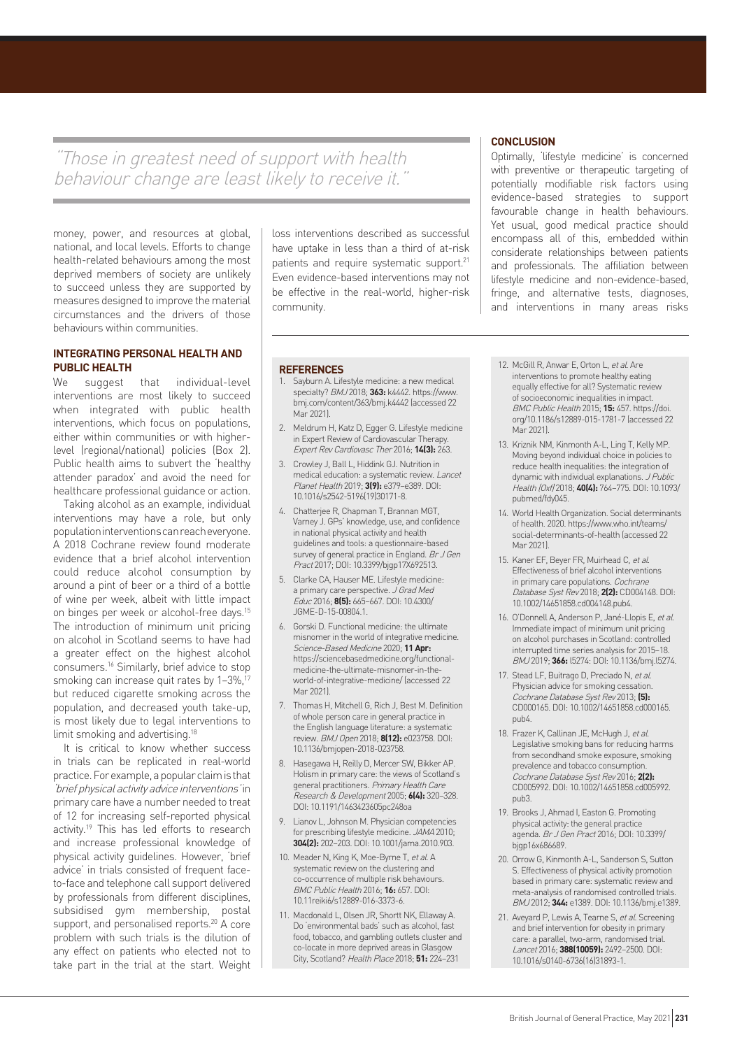"Those in greatest need of support with health behaviour change are least likely to receive it.'

money, power, and resources at global, national, and local levels. Efforts to change health-related behaviours among the most deprived members of society are unlikely to succeed unless they are supported by measures designed to improve the material circumstances and the drivers of those behaviours within communities.

## **INTEGRATING PERSONAL HEALTH AND PUBLIC HEALTH**

We suggest that individual-level interventions are most likely to succeed when integrated with public health interventions, which focus on populations, either within communities or with higherlevel (regional/national) policies (Box 2). Public health aims to subvert the 'healthy attender paradox' and avoid the need for healthcare professional guidance or action.

Taking alcohol as an example, individual interventions may have a role, but only population interventions can reach everyone. A 2018 Cochrane review found moderate evidence that a brief alcohol intervention could reduce alcohol consumption by around a pint of beer or a third of a bottle of wine per week, albeit with little impact on binges per week or alcohol-free days.15 The introduction of minimum unit pricing on alcohol in Scotland seems to have had a greater effect on the highest alcohol consumers.16 Similarly, brief advice to stop smoking can increase quit rates by 1-3%,<sup>17</sup> but reduced cigarette smoking across the population, and decreased youth take-up, is most likely due to legal interventions to limit smoking and advertising.18

It is critical to know whether success in trials can be replicated in real-world practice. For example, a popular claim is that 'brief physical activity advice interventions' in primary care have a number needed to treat of 12 for increasing self-reported physical activity.<sup>19</sup> This has led efforts to research and increase professional knowledge of physical activity guidelines. However, 'brief advice' in trials consisted of frequent faceto-face and telephone call support delivered by professionals from different disciplines, subsidised gym membership, postal support, and personalised reports.<sup>20</sup> A core problem with such trials is the dilution of any effect on patients who elected not to take part in the trial at the start. Weight

loss interventions described as successful have uptake in less than a third of at-risk patients and require systematic support.<sup>21</sup> Even evidence-based interventions may not be effective in the real-world, higher-risk community.

## **REFERENCES**

- 1. Sayburn A. Lifestyle medicine: a new medical specialty? BMJ 2018; **363:** k4442. https://www. bmj.com/content/363/bmj.k4442 (accessed 22 Mar 2021).
- 2. Meldrum H, Katz D, Egger G. Lifestyle medicine in Expert Review of Cardiovascular Therapy. Expert Rev Cardiovasc Ther 2016; **14(3):** 263.
- 3. Crowley J, Ball L, Hiddink GJ. Nutrition in medical education: a systematic review. Lancet Planet Health 2019; **3(9):** e379–e389. DOI: 10.1016/s2542-5196(19)30171-8.
- 4. Chatterjee R, Chapman T, Brannan MGT, Varney J. GPs' knowledge, use, and confidence in national physical activity and health guidelines and tools: a questionnaire-based survey of general practice in England. Br J Gen Pract 2017; DOI: 10.3399/bjgp17X692513.
- 5. Clarke CA, Hauser ME. Lifestyle medicine: a primary care perspective. J Grad Med Educ 2016; **8(5):** 665–667. DOI: 10.4300/ JGME-D-15-00804.1.
- 6. Gorski D. Functional medicine: the ultimate misnomer in the world of integrative medicine. Science-Based Medicine 2020; **11 Apr:** https://sciencebasedmedicine.org/functionalmedicine-the-ultimate-misnomer-in-theworld-of-integrative-medicine/ (accessed 22 Mar 2021).
- 7. Thomas H, Mitchell G, Rich J, Best M. Definition of whole person care in general practice in the English language literature: a systematic review. BMJ Open 2018; **8(12):** e023758. DOI: 10.1136/bmjopen-2018-023758.
- 8. Hasegawa H, Reilly D, Mercer SW, Bikker AP. Holism in primary care: the views of Scotland's general practitioners. Primary Health Care Research & Development 2005; **6(4):** 320–328. DOI: 10.1191/1463423605pc248oa
- Lianov L, Johnson M. Physician competencies for prescribing lifestyle medicine. JAMA 2010; **304(2):** 202–203. DOI: 10.1001/jama.2010.903.
- 10. Meader N, King K, Moe-Byrne T, et al. A systematic review on the clustering and co-occurrence of multiple risk behaviours. BMC Public Health 2016; **16:** 657. DOI: 10.11reiki6/s12889-016-3373-6.
- 11. Macdonald L, Olsen JR, Shortt NK, Ellaway A. Do 'environmental bads' such as alcohol, fast food, tobacco, and gambling outlets cluster and co-locate in more deprived areas in Glasgow City, Scotland? Health Place 2018; **51:** 224–231

## **CONCLUSION**

Optimally, 'lifestyle medicine' is concerned with preventive or therapeutic targeting of potentially modifiable risk factors using evidence-based strategies to support favourable change in health behaviours. Yet usual, good medical practice should encompass all of this, embedded within considerate relationships between patients and professionals. The affiliation between lifestyle medicine and non-evidence-based, fringe, and alternative tests, diagnoses, and interventions in many areas risks

- 12. McGill R, Anwar E, Orton L, et al. Are interventions to promote healthy eating equally effective for all? Systematic review of socioeconomic inequalities in impact. BMC Public Health 2015; **15:** 457. https://doi. org/10.1186/s12889-015-1781-7 (accessed 22 Mar 2021).
- 13. Kriznik NM, Kinmonth A-L, Ling T, Kelly MP. Moving beyond individual choice in policies to reduce health inequalities: the integration of dynamic with individual explanations. J Public Health (Oxf) 2018; **40(4):** 764–775. DOI: 10.1093/ pubmed/fdy045.
- 14. World Health Organization. Social determinants of health. 2020. https://www.who.int/teams/ social-determinants-of-health (accessed 22 Mar 2021).
- 15. Kaner EF, Beyer FR, Muirhead C, et al. Effectiveness of brief alcohol interventions in primary care populations. Cochrane Database Syst Rev 2018; **2(2):** CD004148. DOI: 10.1002/14651858.cd004148.pub4.
- 16. O'Donnell A, Anderson P, Jané-Llopis E, et al. Immediate impact of minimum unit pricing on alcohol purchases in Scotland: controlled interrupted time series analysis for 2015–18. BMJ 2019; **366:** l5274: DOI: 10.1136/bmj.l5274.
- 17. Stead LF, Buitrago D, Preciado N, et al. Physician advice for smoking cessation. Cochrane Database Syst Rev 2013; **(5):** CD000165. DOI: 10.1002/14651858.cd000165. pub4.
- 18. Frazer K, Callinan JE, McHugh J, et al. Legislative smoking bans for reducing harms from secondhand smoke exposure, smoking prevalence and tobacco consumption. Cochrane Database Syst Rev 2016; **2(2):** CD005992. DOI: 10.1002/14651858.cd005992. pub3.
- 19. Brooks J, Ahmad I, Easton G. Promoting physical activity: the general practice agenda. Br J Gen Pract 2016; DOI: 10.3399/ bjgp16x686689.
- 20. Orrow G, Kinmonth A-L, Sanderson S, Sutton S. Effectiveness of physical activity promotion based in primary care: systematic review and meta-analysis of randomised controlled trials. BMJ 2012; **344:** e1389. DOI: 10.1136/bmj.e1389.
- 21. Avevard P, Lewis A, Tearne S, et al. Screening and brief intervention for obesity in primary care: a parallel, two-arm, randomised trial. Lancet 2016; **388(10059):** 2492–2500. DOI: 10.1016/s0140-6736(16)31893-1.